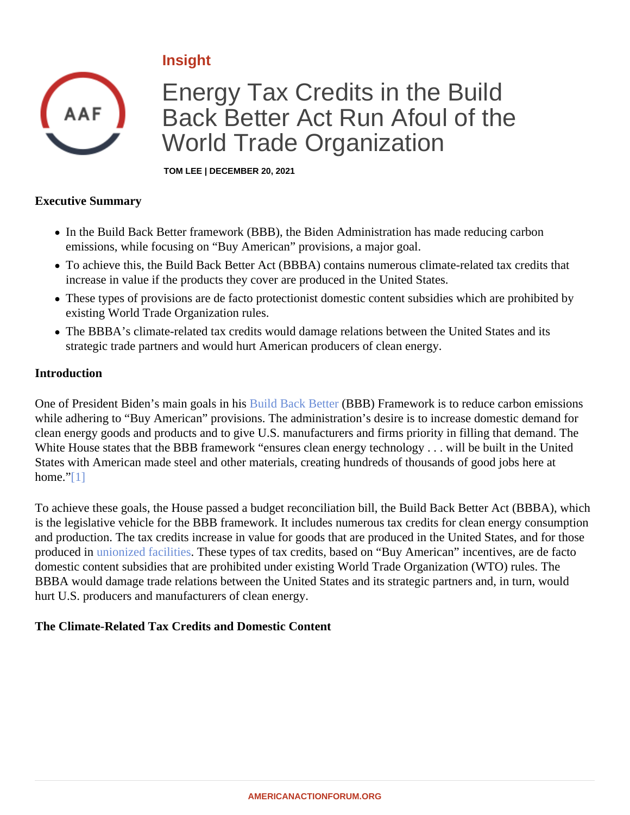# <span id="page-0-0"></span>Insight

# Energy Tax Credits in the Build Back Better Act Run Afoul of the World Trade Organization

TOM LEE | DECEMBER 20, 2021

#### Executive Summary

- In the Build Back Better framework (BBB), the Biden Administration has made reducing carbon emissions, while focusing on "Buy American" provisions, a major goal.
- To achieve this, the Build Back Better Act (BBBA) contains numerous climate-related tax credits that increase in value if the products they cover are produced in the United States.
- These types of provisions are de facto protectionist domestic content subsidies which are prohibited by existing World Trade Organization rules.
- The BBBA's climate-related tax credits would damage relations between the United States and its strategic trade partners and would hurt American producers of clean energy.

#### Introduction

One of President Biden's main goals in **Bisild Back Better (BBB)** Framework is to reduce carbon emissions while adhering to "Buy American" provisions. The administration's desire is to increase domestic demand for clean energy goods and products and to give U.S. manufacturers and firms priority in filling that demand. The White House states that the BBB framework "ensures clean energy technology . . . will be built in the United States with American made steel and other materials, creating hundreds of thousands of good jobs here at home.<sup>"</sup>[1]

To achieve these goals, the House passed a budget reconciliation bill, the Build Back Better Act (BBBA), which is the legislative vehicle for the BBB framework. It includes numerous tax credits for clean energy consumptic and production. The tax credits increase in value for goods that are produced in the United States, and for tho produced i[n unionized facilities.](�� h t t p s : / / w w w . a m e r i c a n a c t i o n f o r u m . o r g / i n s i g h t / h o w - t h e - b b b a s - u n i o n - l a b o r - r e q u i r e m e n t s - u n d e r m i n e - i t s - c l i m a t e - g o a l s /) These types of tax credits, based on "Buy American" incentives, are de facto domestic content subsidies that are prohibited under existing World Trade Organization (WTO) rules. The BBBA would damage trade relations between the United States and its strategic partners and, in turn, would hurt U.S. producers and manufacturers of clean energy.

The Climate-Related Tax Credits and Domestic Content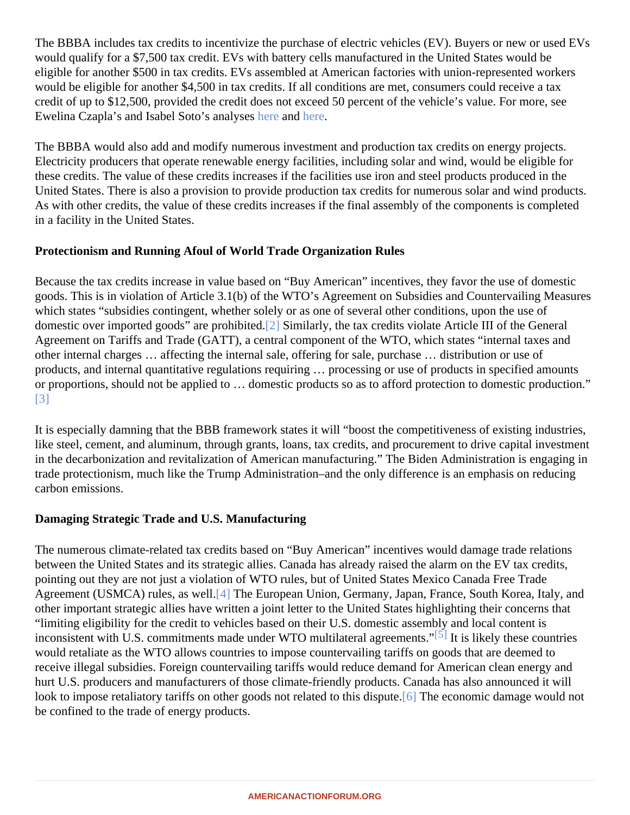<span id="page-1-0"></span>The BBBA includes tax credits to incentivize the purchase of electric vehicles (EV). Buyers or new or used EV would qualify for a \$7,500 tax credit. EVs with battery cells manufactured in the United States would be eligible for another \$500 in tax credits. EVs assembled at American factories with union-represented workers would be eligible for another \$4,500 in tax credits. If all conditions are met, consumers could receive a tax credit of up to \$12,500, provided the credit does not exceed 50 percent of the vehicle's value. For more, see Ewelina Czapla's and Isabel Soto's anal[yses](�� h t t p s : / / w w w . a m e r i c a n a c t i o n f o r u m . o r g / i n s i g h t / c l i m a t e - i m p l i c a t i o n s - o f - t h e - b b b a s - e v - p r o v i s i o n s /) and [here](�� h t t p s : / / w w w . a m e r i c a n a c t i o n f o r u m . o r g / i n s i g h t / c l i m a t e - i m p l i c a t i o n s - o f - t h e - b b b a s - e v - p r o v i s i o n s /)

The BBBA would also add and modify numerous investment and production tax credits on energy projects. Electricity producers that operate renewable energy facilities, including solar and wind, would be eligible for these credits. The value of these credits increases if the facilities use iron and steel products produced in the United States. There is also a provision to provide production tax credits for numerous solar and wind produc As with other credits, the value of these credits increases if the final assembly of the components is complete in a facility in the United States.

## Protectionism and Running Afoul of World Trade Organization Rules

Because the tax credits increase in value based on "Buy American" incentives, they favor the use of domestic goods. This is in violation of Article 3.1(b) of the WTO's Agreement on Subsidies and Countervailing Measure which states "subsidies contingent, whether solely or as one of several other conditions, upon the use of domestic over imported goods" are prohib[ited](#page-2-0) Similarly, the tax credits violate Article III of the General Agreement on Tariffs and Trade (GATT), a central component of the WTO, which states "internal taxes and other internal charges … affecting the internal sale, offering for sale, purchase … distribution or use of products, and internal quantitative regulations requiring … processing or use of products in specified amounts or proportions, should not be applied to ... domestic products so as to afford protection to domestic productio [\[3\]](#page-2-0)

It is especially damning that the BBB framework states it will "boost the competitiveness of existing industries like steel, cement, and aluminum, through grants, loans, tax credits, and procurement to drive capital investm in the decarbonization and revitalization of American manufacturing." The Biden Administration is engaging in trade protectionism, much like the Trump Administration–and the only difference is an emphasis on reducing carbon emissions.

## Damaging Strategic Trade and U.S. Manufacturing

The numerous climate-related tax credits based on "Buy American" incentives would damage trade relations between the United States and its strategic allies. Canada has already raised the alarm on the EV tax credits pointing out they are not just a violation of WTO rules, but of United States Mexico Canada Free Trade Agreement (USMCA) rules, as well. The European Union, Germany, Japan, France, South Korea, Italy, and other important strategic allies have written a joint letter to the United States highlighting their concerns that "limiting eligibility for the credit to vehicles based on their U.S. domestic assembly and local content is inconsistent with U.S. commitments made under WTO multilateral agreements" likely these countries would retaliate as the WTO allows countries to impose countervailing tariffs on goods that are deemed to receive illegal subsidies. Foreign countervailing tariffs would reduce demand for American clean energy and hurt U.S. producers and manufacturers of those climate-friendly products. Canada has also announced it will look to impose retaliatory tariffs on other goods not related to this d[ispu](#page-2-0)te. Economic damage would not be confined to the trade of energy products.